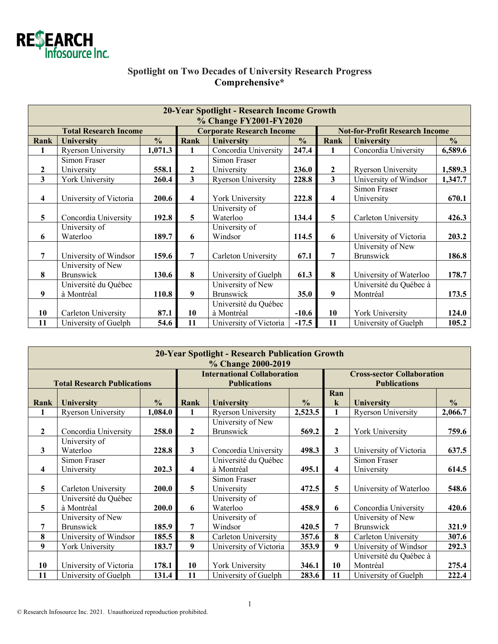

## **Spotlight on Two Decades of University Research Progress Comprehensive\***

| 20-Year Spotlight - Research Income Growth<br>% Change FY2001-FY2020 |                                       |               |                                  |                                       |               |                                       |                                       |               |  |  |  |  |
|----------------------------------------------------------------------|---------------------------------------|---------------|----------------------------------|---------------------------------------|---------------|---------------------------------------|---------------------------------------|---------------|--|--|--|--|
| <b>Total Research Income</b>                                         |                                       |               | <b>Corporate Research Income</b> |                                       |               | <b>Not-for-Profit Research Income</b> |                                       |               |  |  |  |  |
| Rank                                                                 | <b>University</b>                     | $\frac{0}{0}$ | Rank                             | <b>University</b>                     | $\frac{0}{0}$ | Rank                                  | <b>University</b>                     | $\frac{0}{0}$ |  |  |  |  |
| 1                                                                    | <b>Ryerson University</b>             | 1,071.3       | 1                                | Concordia University                  | 247.4         | 1                                     | Concordia University                  | 6,589.6       |  |  |  |  |
|                                                                      | Simon Fraser                          |               |                                  | Simon Fraser                          |               |                                       |                                       |               |  |  |  |  |
| $\mathbf{2}$                                                         | University                            | 558.1         | $\mathbf{2}$                     | University                            | 236.0         | $\boldsymbol{2}$                      | <b>Ryerson University</b>             | 1,589.3       |  |  |  |  |
| 3                                                                    | York University                       | 260.4         | 3                                | <b>Ryerson University</b>             | 228.8         | 3                                     | University of Windsor                 | 1,347.7       |  |  |  |  |
|                                                                      |                                       |               |                                  |                                       |               |                                       | Simon Fraser                          |               |  |  |  |  |
| 4                                                                    | University of Victoria                | 200.6         | 4                                | York University                       | 222.8         | 4                                     | University                            | 670.1         |  |  |  |  |
|                                                                      |                                       |               |                                  | University of                         |               |                                       |                                       |               |  |  |  |  |
| 5                                                                    | Concordia University                  | 192.8         | 5                                | Waterloo                              | 134.4         | 5                                     | Carleton University                   | 426.3         |  |  |  |  |
|                                                                      | University of                         |               |                                  | University of                         |               |                                       |                                       |               |  |  |  |  |
| 6                                                                    | Waterloo                              | 189.7         | 6                                | Windsor                               | 114.5         | 6                                     | University of Victoria                | 203.2         |  |  |  |  |
| 7                                                                    | University of Windsor                 | 159.6         | 7                                | Carleton University                   | 67.1          | 7                                     | University of New<br><b>Brunswick</b> | 186.8         |  |  |  |  |
| 8                                                                    | University of New<br><b>Brunswick</b> | 130.6         | 8                                | University of Guelph                  | 61.3          | 8                                     | University of Waterloo                | 178.7         |  |  |  |  |
| 9                                                                    | Université du Québec<br>à Montréal    | 110.8         | 9                                | University of New<br><b>Brunswick</b> | 35.0          | 9                                     | Université du Québec à<br>Montréal    | 173.5         |  |  |  |  |
| 10                                                                   | Carleton University                   | 87.1          | 10                               | Université du Québec<br>à Montréal    | $-10.6$       | 10                                    | York University                       | 124.0         |  |  |  |  |
| 11                                                                   | University of Guelph                  | 54.6          | 11                               | University of Victoria                | $-17.5$       | 11                                    | University of Guelph                  | 105.2         |  |  |  |  |

| <b>20-Year Spotlight - Research Publication Growth</b><br>% Change 2000-2019 |                                       |               |                                                           |                                       |               |                                                          |                                       |               |  |  |  |
|------------------------------------------------------------------------------|---------------------------------------|---------------|-----------------------------------------------------------|---------------------------------------|---------------|----------------------------------------------------------|---------------------------------------|---------------|--|--|--|
| <b>Total Research Publications</b>                                           |                                       |               | <b>International Collaboration</b><br><b>Publications</b> |                                       |               | <b>Cross-sector Collaboration</b><br><b>Publications</b> |                                       |               |  |  |  |
| Rank                                                                         | <b>University</b>                     | $\frac{0}{0}$ | Rank                                                      | <b>University</b>                     | $\frac{0}{0}$ | Ran<br>$\bf k$                                           | <b>University</b>                     | $\frac{0}{0}$ |  |  |  |
|                                                                              | <b>Ryerson University</b>             | 1,084.0       | 1                                                         | <b>Ryerson University</b>             | 2,523.5       | 1                                                        | <b>Ryerson University</b>             | 2,066.7       |  |  |  |
| $\mathbf{2}$                                                                 | Concordia University                  | 258.0         | $\mathbf{2}$                                              | University of New<br><b>Brunswick</b> | 569.2         | $\mathbf{2}$                                             | York University                       | 759.6         |  |  |  |
| 3                                                                            | University of<br>Waterloo             | 228.8         | 3                                                         | Concordia University                  | 498.3         | $\overline{\mathbf{3}}$                                  | University of Victoria                | 637.5         |  |  |  |
| $\overline{\mathbf{4}}$                                                      | Simon Fraser<br>University            | 202.3         | $\overline{\mathbf{4}}$                                   | Université du Québec<br>à Montréal    | 495.1         | 4                                                        | Simon Fraser<br>University            | 614.5         |  |  |  |
| 5                                                                            | Carleton University                   | 200.0         | 5                                                         | Simon Fraser<br>University            | 472.5         | 5                                                        | University of Waterloo                | 548.6         |  |  |  |
| 5                                                                            | Université du Québec<br>à Montréal    | 200.0         | 6                                                         | University of<br>Waterloo             | 458.9         | 6                                                        | Concordia University                  | 420.6         |  |  |  |
| 7                                                                            | University of New<br><b>Brunswick</b> | 185.9         | 7                                                         | University of<br>Windsor              | 420.5         | 7                                                        | University of New<br><b>Brunswick</b> | 321.9         |  |  |  |
| 8                                                                            | University of Windsor                 | 185.5         | 8                                                         | Carleton University                   | 357.6         | 8                                                        | Carleton University                   | 307.6         |  |  |  |
| 9                                                                            | York University                       | 183.7         | 9                                                         | University of Victoria                | 353.9         | 9                                                        | University of Windsor                 | 292.3         |  |  |  |
| 10                                                                           | University of Victoria                | 178.1         | 10                                                        | York University                       | 346.1         | 10                                                       | Université du Québec à<br>Montréal    | 275.4         |  |  |  |
| 11                                                                           | University of Guelph                  | 131.4         | 11                                                        | University of Guelph                  | 283.6         | 11                                                       | University of Guelph                  | 222.4         |  |  |  |